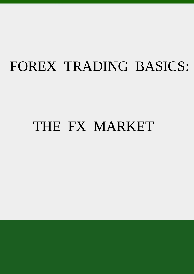## FOREX TRADING BASICS:

## THE FX MARKET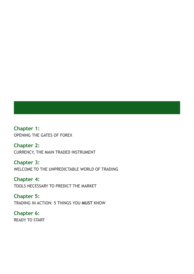**Chapter 1:**  OPENING THE GATES OF FOREX

**Chapter 2:**  CURRENCY, THE MAIN TRADED INSTRUMENT

**Chapter 3:**  WELCOME TO THE UNPREDICTABLE WORLD OF TRADING

**Chapter 4:**  TOOLS NECESSARY TO PREDICT THE MARKET

**Chapter 5:**  TRADING IN ACTION: 5 THINGS YOU **MUST** KNOW

**Chapter 6:**  READY TO START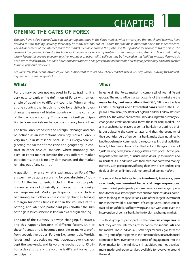## **OPENING THE GATES OF FOREX**

*You may have asked yourself why you are getting interested in the Forex market, what attracts you that much and why you have decided to start trading. Actually, there may be many reasons, but let us note that the most important one is the independence. The advancement of the Internet made the market available around the globe and thus possible for people to trade online. The reason of the growing interest is the financial independence which is possible to gain through going deep into Forex and trading wisely. No matter you are a doctor, teacher, manager or a journalist, still you may be involved in this limitless market. Here you do not have to deal with any boss and bare someone's appeal or anger; you are accountable only to your personality and thus are free to make your own decisions.* 

*Are you interested? Let us introduce you some important features about Forex market, which will help you in studying this interesting area and obtaining profit from it.* 

#### **What?**

For ordinary person not engaged in Forex trading, it is very easy to explain the definition of Forex with an example of travelling to different countries. When arriving at one country, the first thing to do for a visitor is to exchange the money of his/her country with the currency of the particular country. This process is itself participation in Forex market- exchange one currency for another.

The term Forex stands for the Foreign Exchange and can be defined as an international currency market. Forex is very unique in its essence because it is everywhere neglecting the factor of time zone and geography. In contrast to other physical markets, where monopoly can exist, in Forex market despite the very different market participants, there is no any dominance, and the market remains out of any control.

A question may arise: what is exchanged on Forex? The answer may be quite surprising for you: absolutely "nothing". All the instruments, including the most popular currencies are not physically exchanged on the foreign exchange market. Market participants just conclude a bet among each other on the currency changes, leaving a margin hundreds times less than the volumes of this betting, and later one participant pays another the sum of the gain (such scheme is known as a margin trading).

The rate of the currency is always changing, fluctuates, and this happens because of different factors. Due to these fluctuations it becomes possible to make a profit from speculative trades. Foreign Exchange is the World's largest and most active market. It operates every day except the weekends, and its volume reaches up to \$5 trillion a day and surely, the volume is different for various participants.

#### **Who?**

In general, the Forex market is comprised of four different groups. The most influential participants of the market are the **major banks, bank associations** (like HSBC, Citigroup, Barclays Capital, JP Morgan), and a few **central banks**, such as the European Central Bank, the Bank of England, and the Federal Reserve of the US. The whole bank community, dealing with currency exchange and credit operations, forms the inter-bank market. The aim of such market players as central banks is not getting a profit, but adjusting the currency rates, and thus, the economy of their countries. Very often, central banks make deals not directly, but through major commercial banks, concealing their activities. In fact, it becomes obvious that the banks of this group are not ''just'' making deals, but also suggest their own prices. Active participants of the market, as usual, make deals up to millions and milliards of USD and trade with their own, not borrowed money. In Forex, such participants, offering their own prices and making deals of almost unlimited volume, are called *market makers*.

**CHAPTER** 

The second layer belongs to the **investment, insurance, pension funds, medium-sized banks and large corporations**. These market participants perform currency exchange operations for the investment purposes and for business deals, sometimes for long-term speculations. One of the largest investment funds in the world is ''Quantum'' of George Soros. Funds can attract billions of dollars of borrowings and can withstand even the intervention of central banks in the foreign exchange market.

The third group of participants is the **financial companies**. In fact, they are the intermediates between the **individuals** and the market. These individuals, both physical and legal, form the fourth group of participants in the Forex market. In fact, financial companies have overcome the barrier of engagement into the Forex market for the individuals. In addition, Internet development made brokerage services available for everyone around the world.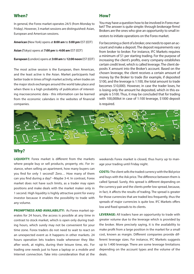#### **When?**

In general, the Forex market operates 24/5 (from Monday to Friday). However, 3 market sessions are distinguished: Asian, European and American sessions.

**American (**New York) opens at **8:00 am** to **5:00 pm** EST (EDT)

**Asian (**Tokyo) opens at **7:00 pm** to **4:00 am** EST (EDT)

**European (**London) opens at **3:00 am** to **12:00 noon** EST (EDT)

The most active session is the European, then American, and the least active is the Asian. Market participants had better trade in times of high market activity, when trades on the major stock exchanges around the world take place and when there is a high probability of publication of interesting macroeconomic data - this information can be learned from the economic calendars in the websites of financial companies.

#### **How?**

You may have a question how to be involved in Forex market? The answer is quite simple: through brokerage firms! Brokers are the ones who give an opportunity to small in-

vestors to initiate operations on the Forex market.

For becoming a client of a broker, one needs to open an account and make a deposit. The deposit requirements vary from broker to broker. For instance, IFC Markets requires a minimum of \$1 per starting trading. For the purpose of increasing the client's profits, every company establishes certain credit level, which is called leverage. The client deposits X amount into the Broker's account. Based on the chosen leverage, the client receives a certain amount of money by the Broker to trade (for example, if deposited \$100, and the leverage is 1:100, the total amount to trade becomes \$10,000). However, in case the trader loses, he is losing only the amount he deposited, which in this example is \$100. Thus, it may be concluded that for trading with 100,000lot in case of 1:100 leverage, \$1000 deposit is required.



#### **Why?**

**LIQUIDITY:** Forex market is different from the markets where people buy or sell products, property, etc. For instance, when selling an apartment, how many buyers can you find for only 1 second? Zero… How many of them can you find during a day? –Maybe 3-4. In contrast, Forex market does not have such limits, as a trader may open positions and make deals with the market maker only in 1 second. High liquidity is highly attractive point for every investor because it enables the possibility to trade with any volume.

**PROMPTNESS AND AVAILABILITY:** As Forex market operates for 24 hours, the access is possible at any time in contrast to stock market, which is open only during trading hours, which surely may not be convenient for your time zone. Forex traders do not need to wait to react on an unexpected event as it happens in other markets. 24 hours operation lets traders trade whenever they like: after work, at nights, during their leisure time, etc. For trading one needs just to have a laptop or a mobile and Internet connection. Take into consideration that at the weekends Forex market is closed, thus hurry up to manage your trading until Friday night.

**COSTS:** The client sells the traded currency with the Bid price and buys with the Ask price. The difference between them is called Spread. Surely, this spread is different depending on the currency pair and the clients prefer low spread, because, in fact, it affects the results of trading. The spread is greater for those currencies that are traded less frequently, thus the spreads of major currencies is quite low. IFC Markets offers low and fixed spreads to its clients.

**LEVERAGE:** All traders have an opportunity to trade with greater volume due to the leverage which is provided by the broker. More precisely saying, it is the availability to make profit from a large position in the market for a small cost, known as margin. Different companies provide different leverage sizes. For instance, IFC Markets suggests up to 1:400 leverage. There are some leverage limitations depending on the account types and the volume of the deals.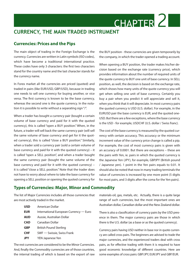### **CURRENCY, THE MAIN TRADED INSTRUMENT**

#### **Currencies: Prices and the Pips**

The main object of trading in the Foreign Exchange is the currency. Currencies are written in Latin symbols (ISO codes), which have become a traditional international practice. These codes have only 3 characters: the first two characters stand for the country name and the last character stands for the currency name.

In Forex market all the currencies are priced (quoted) and traded in pairs (like EUR/USD, GBP/USD), because in trading one needs to sell one currency for buying another, or vice versa. The first currency is known to be the base currency, whereas the second one is the quote currency. In the notation it is possible to write without a separating sign "/".

When a trader has bought a currency pair (bought a certain volume of base currency and paid for it with the quoted currency), this is called "open a BUY position." When, in the future, a trader will sell back the same currency pair (will sell the same volume of base currency and get for it the quoted currency), this is called "close a BUY position." Similarly, when a trader sold a currency pair (sold a certain volume of base currency and paid for it with the quoted currency) – it is called "open a SELL position", and when a trader bought the same currency pair (bought the same volume of the base currency and paid for it with the quoted currency) – it is called "close a SELL position." Note that the trader does not have to worry about where to take the base currency for opening a SELL position or opening the quoted currency for

the BUY position - these currencies are given temporarily by the company, in which the trader opened a trading account.

CHAPTER 2

When opening a BUY position, the trader makes his/her decision based on the exchange rate (currency price), which provides information about the number of required units of the quote currency to BUY one unit of base currency. In SELL position, as well, the decision is based on the exchange rate, which shows how many units of the quote currency you will get when selling one unit of base currency. Certainly you buy a pair when you predict it will appreciate and sell it, when you think that it will depreciate. In most currency pairs the quoted currency is USD (U.S. dollar). For example, in the EURUSD pair the base currency is EUR, and the quoted one-USD. But there are a few exceptions, where the base currency is the USD - for example, USDCHF (U.S. dollar / Swiss franc).

The cost of the base currency is measured by the quoted currency with certain accuracy. This accuracy or the minimum increment value of the currency price change is called a pip. For example, the cost of most currency pairs is given with an accuracy of 0.0001. But there are exceptions – these are the pairs with Yen, ie. pairs in which the quoted currency is the Japanese Yen (JPY), for example, GBPJPY (British pound / Japanese yen). 1 point in the Yen pairs equals to 0.01. It should also be noted that now in many trading terminals the value of currencies is increased by one more point (5 digits for most pairs, and 3 digits after the coma for the Yen pairs).

#### **Types of Currencies: Major, Minor and Commodity**

The list of Major Currencies includes all those currencies that are most actively traded in the market.

> **USD** American Dollar **EUR** International European Currency — Euro **AUD** Aussie, Australian Dollar **CAD** Canadian Dollar **GBP** British Pound Sterling **CHF** SWF — Swissie, Swiss Frank **JPY** YEN Japanese Yen

The rest currencies are considered to be the Minor Currencies. And, finally the Commodity currencies are of those countries, the internal trading of which is based on the export of raw

materials-oil, gas, metals, etc. Actually, there is a quite large range of such currencies, but the most important ones are Australian dollar, Canadian dollar and the New Zealand dollar.

There is also a classification of currency pairs by the USD presence in them. The major currency pairs are those in which there is the U.S. dollar (as a base or as the quoted currency).

Currency pairs having USD neither in base nor in quote currency are called cross pairs. The beginners are advised to trade the major currencies, and the experienced traders deal with cross pairs, as for effective trading with them it is required to have good economic knowledge of different countries. Here are some examples of cross pairs: GBP/JPY, EUR/JPY and GBP/EUR.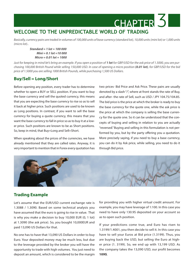## **WELCOME TO THE UNPREDICTABLE WORLD OF TRADING**

*Basically, currency pairs are traded in volumes of 100,000 units of base currency (standard lot), 10,000 units (mini lot) or 1,000 units (micro lot)..*

*Standard = 1 lot = 100 000 Mini = 0.1 lot =10 000 Micro = 0.01 lot = 1000*

*Just for keeping in mind let's bring an example. If you open a position of 1 lot for GBP/USD for the ask price of 1.5000, you are purchasing 100,000 British Pound while selling 150,000 USD. In case of opening a micro position (0.01 lot), for GBP/USD for the bid price of 1.5000 you are selling 1000 British Pounds, while purchasing 1,500 US Dollars.* 

#### **Buy/Sell = Long/Short**

Before opening any position, every trader has to determine whether to open a BUY or SELL position. If you want to buy the base currency and sell the quoted currency, this means that you are expecting the base currency to rise so as to sell it back at higher price. Such positions are used to be known as Long positions. In contrast, if you want to sell the base currency for buying a quote currency, this means that you want the base currency to fall in price so as to buy it at a lower price. Such positions are known to be as Short positions. So, keep in mind, that Buy=Long and Sell=Short.

When speaking about the prices of the currencies, we have already mentioned that they are called rates. Anyway, it is very important to mention that in Forex every quotation has two prices- Bid Price and Ask Price. These pairs are usually denoted by a slash "/", where at front stands the rate of Buy, and after- the rate of Sell, such as USD / JPY 104.75/104.85. The bid price is the price at which the broker is ready to buy the base currency for the quote one, while the ask price is the price at which the company is selling the base currency for the quote one. So it can be understood that the concepts of buying and selling in relation to you are actually "reversed." Buying and selling in this formulation is not performed by you, but by the party offering you a quotation. More precisely saying, if you need to buy a base currency, you can do it by Ask price, while selling, you need to do it through Bid price.

CHAPTER<sup>3</sup>



#### **Trading Example**

Let's assume that the EUR/USD current exchange rate is 1.3088 / 1.3090. Based on some technical analysis you have assumed that the euro is going to rise in value. That is why you make a decision to buy 10,000 EUR (0, 1 lot) at 1.3090 (the ask price). So, you bought 10,000EUR and paid 13,090 US Dollars for that.

No one has to have that 13,090 US Dollars in order to buy Euro. Your deposited money may be much less, but due to the leverage provided by the broker you will have the opportunity to trade with high volumes. You just need to deposit an amount, which is considered to be the margin

for providing you with higher virtual credit amount. For example, you may have leverage of 1:100. In this case you need to have only 130.9\$ deposited on your account so as to open such position.

If your predictions come true, and Euro has risen to 1.3199/1.4001, you then decide to sell it. In this case you have to sell your Euros at Bid price (1.3199). Thus, you are buying back the USD, but selling the Euro at higher price (1. 3199). So, we end up with 13,199 USD. As the company takes the 13,090 USD, our profit becomes **109\$**.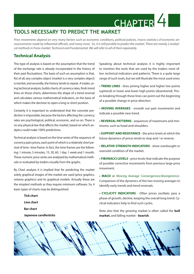### **TOOLS NECESSARY TO PREDICT THE MARKET**

*Price movements depend on very many factors such as economic conditions, political policies, macro statistics of economic announcements made by influential officials, and many more. So, it is still possible to predict the market. There are mainly 2 analytical methods in Forex market: Technical and Fundamental. We will refer to all of them separately.* 

#### **Technical Analysis**

This type of analysis is based on the assumption that the trend of the exchange rate is already incorporated in the history of their past fluctuations. The basis of such an assumption is that, fist of all, any complex object (market is a very complex object) is inertial, and secondly, the history tends to repeat. A trader, using technical analysis, builds charts of currency rates, finds trend lines on those charts, determines the shape of a trend reversal and calculates various mathematical indicators, on the basis of which makes the decision to open a long or short position.

Certainly it is important to understand that the concrete prediction is impossible, because the factors affecting the currency rates are psychological, political, economic, and so on. There is no any physical law that affects the market, based on which analytics could make 100% predictions.

Technical analysis is based on the time series of the sequence of currency pairs prices, each point of which is a relatively short period of time- time frame. In fact, the time frames are the following: 1 minute, 5 minutes, 15, 30, 60, 1 day, 1 week and 1 month. These numeric price series are analyzed by mathematical methods or evaluated by traders visually from the graphs.

By Chart analysis it is implied that for predicting the market solely graphical images of the market are used (price graphics, volume graphics) and its graphical models. Actually these are the simplest methods as they require minimum software. So, 4 basic types of charts may be distinguished:

> **Tick chart Line chart Bar chart Japanese candlesticks**

Speaking about technical analysis it is highly important to mention the tools that are used by the traders most often: technical indicators and patterns. There is a quite large range of such tools, but we will illustrate the most used ones:

CHAPTER<sup>4</sup>

**• TREND LINES** - lines joining higher and higher low points (uptrend) or lower and lower high points (downtrend). Prices breaking through these lines can point out the beginning of a possible change in price direction.

**• MOVING AVERAGES** - smooth out past movements and indicate a possible new trend.

**• REVERSAL PATTERNS** - sequences of maximums and minimums, such as head-and-shoulders.

**• SUPPORT AND RESISTANCE** - the price levels at which the future dynamics of prices tends to stop and / or reverse.

**• RELATIVE STRENGTH INDICATORS** - show overbought or oversold condition of the market.

**• FIBONACCI LEVELS** - price levels that indicate the purpose of possible corrective movements from previous large price movement.

**• MACD** or Moving Average Convergences/divergerence-Comparison of the dynamics of the two moving averages to identify early trends and trend reversals.

**• CYCLICITY INDICATORS** - Often prices oscillate; pass a phase of growth, decline, keeping the overall long trend. Cyclical indicators help to find such cycles.

Note also that the growing market is often called the **bull market**, and falling market - **bearish**.

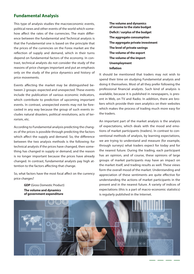#### **Fundamental Analysis**

This type of analysis studies the macroeconomic events, political news and other events of the world which somehow affect the rates of the currencies. The main difference between the fundamental and Technical analysis is that the Fundamental one is based on the principle that the prices of the currencies on the Forex market are the reflection of supply and demand, which in their turns depend on fundamental factors of the economy. In contrast, technical analysts do not consider the study of the reasons of price changes important and put an emphasis only on the study of the price dynamics and history of price movements.

Events affecting the market may be distinguished between 2 groups: expected and unexpected. These events include the publication of various economic indicators, which contribute to prediction of upcoming important events. In contrast, unexpected events may not be forecasted in any way because the group of such events includes natural disasters, political revolutions, acts of terrorism, etc.

According to Fundamental analysis predicting the changes of the prices is possible through predicting the factors which affect the supply and demand. So, the difference between the two analysis methods is the following: for technical analysts if the prices have changed, then something has changed in supply or demand, and the reason is no longer important because the prices have already changed. In contrast, fundamental analysts pay high attention to the factors affecting that change.

So, what factors have the most focal affect on the currency price changes?

> **GDP** (Gross Domestic Product) **The volume and dynamics of government expenditure**

**The volume and dynamics of income to the state budget Deficit / surplus of the budget The aggregate consumption The aggregate private investment The level of private savings The volume of the export The volume of the import Unemployment Inflation**

It should be mentioned that traders may not wish to spend their time on studying Fundamental analysis and doing it themselves. Most of all they prefer following the professional financial analysts. Such kind of analysis is available, because it is published in newspapers, is present in Web, on TV and Radio. In addition, there are brokers which provide their own analytics on their websites which makes the process of trading much more easy for the traders.

An important part of the market analysis is the analysis of expectations, which deals with the mood and emotions of market participants (traders). In contrast to conventional methods of analysis, by learning expectations, we are trying to understand and measure (for example, through surveys) what traders expect for today and for the nearest future. During the trading, each participant has an opinion, and of course, these opinions of large groups of market participants may have an impact on the market itself, and trading results as well. These views form the overall mood of the market. Understanding and appreciation of these sentiments are quite effective for understanding the actions of market participants in the present and in the nearest future. A variety of indices of expectations (this is a part of macro-economic statistics) is regularly published in the Internet.

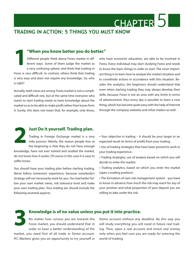**TRADING IN ACTION: 5 THINGS YOU MUST KNOW**

#### **1"When you know better you do better."**

Different people think about Forex market in different ways. Some of them judge the market as a very confusing sphere, and think that trading in Forex is very difficult. In contrast, others think that trading is very easy and does not require any knowledge. So, who is right?

Actually, both views are wrong: Forex market is not a complicated and difficult one, but at the same time everyone who wants to start trading needs to have knowledge about the market so as to be able to make profit rather than losses from it. Surely, this does not mean that, for example, only those,

who have economic education, are able to be involved in Forex. Every individual may start studying Forex and needs to know the basic things in order to start. The most important thing is to learn how to analyze the market situation and to coordinate actions in accordance with this situation. Besides the analytics, the beginners should understand that even when starting trading they may always develop their skills, because Forex is not an area with any limits in terms of advancement, thus every day is possible to learn a new thing, which has become quite easy with the help of Internet through the company websites and other traders as well.

CHAPTER<sup>5</sup>

#### Trading in Foreign Exchange market is a very risky process. Mainly, the reason people lose at the beginning is that they do not have enough **2Just Do it yourself. Trading plan.**

knowledge, have not ever trained and studied the market, do not know how it works. Of course in this case it is easy to suffer losses.

You should have your trading plan before starting trading. Never follow someone's experience, because somebody's strategy will not necessarily work for you. You had better follow your own market views, risk tolerance level and make your own trading plan. Your trading lan should include the following essential aspects:

- Your objective in trading it should be your target or an expected result (in terms of profit) from your trading.
- Use of trading strategies that have been proved to work in your trading experience.
- Trading strategies, use of analysis based on which you will decide to enter the market.
- Trading analytics, based on which you enter the market (open a trading position).

**•** The formation of own risk management system - you have to know in advance how much the risk may reach for any of your position and what proportion of your deposit you are willing to take under the risk.

#### **3 Knowledge is of no value unless you put it into practice.**

No matter how curious you are towards the Forex market, you should understand that in order to have a better understanding of the

market, you need first of all trade in Demo account. IFC Markets gives you an opportunity to try yourself in

Demo account without any deadline. By this way you will study everything you will need in future real trading. Thus, open a real account and invest real money only when you feel sure you are ready for entering the world of trading.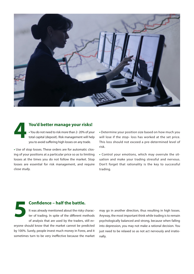

**4 You'd better manage your risks! •** You do not need to risk more than 2- 20% of your total capital (deposit). Risk management will help you to avoid suffering high losses on any trade.

**•** Use of stop losses. These orders are for automatic closing of your positions at a particular price so as to limiting losses at the times you do not follow the market. Stop losses are essential for risk management, and require close study.

**•** Determine your position size based on how much you will lose if the stop- loss has worked at the set price. This loss should not exceed a pre-determined level of risk.

**•** Control your emotions, which may overrule the situation and make your trading stressful and nervous. Don't forget that rationality is the key to successful trading.

#### **5 Confidence – half the battle.**

It was already mentioned about the risky character of trading. In spite of the different methods of analysis that are used by the traders, still everyone should know that the market cannot be predicted by 100%. Surely, people invest much money in Forex, and it sometimes turn to be very ineffective because the market

may go in another direction, thus resulting in high losses. Anyway, the most important think while trading is to remain psychologically balanced and strong, because when falling into depression, you may not make a rational decision. You just need to be relaxed so as not act nervously and irrationally.